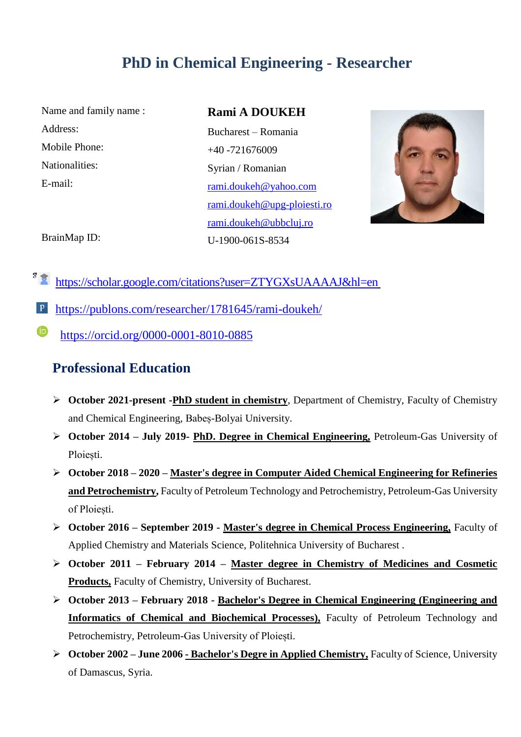# **PhD in Chemical Engineering - Researcher**

| Name and family name: |
|-----------------------|
| Address:              |
| Mobile Phone:         |
| Nationalities:        |
| E-mail:               |
|                       |

# **Rami A DOUKEH**  Bucharest – Romania +40 -721676009 Syrian / Romanian [rami.doukeh@yahoo.com](mailto:rami.doukeh@yahoo.com) [rami.doukeh@upg-ploiesti.ro](mailto:rami.doukeh@upg-ploiesti.ro) [rami.doukeh@ubbcluj.ro](mailto:rami.doukeh@ubbcluj.ro) U-1900-061S-8534



BrainMap ID:

- <https://scholar.google.com/citations?user=ZTYGXsUAAAAJ&hl=en>
- $\mathbf{P}$ <https://publons.com/researcher/1781645/rami-doukeh/>
	- <https://orcid.org/0000-0001-8010-0885>

## **Professional Education**

- **October 2021-present -PhD student in chemistry**, Department of Chemistry, Faculty of Chemistry and Chemical Engineering, Babeș-Bolyai University.
- **October 2014 – July 2019- PhD. Degree in Chemical Engineering,** Petroleum-Gas University of Ploiești.
- **October 2018 – 2020 – Master's degree in Computer Aided Chemical Engineering for Refineries and Petrochemistry,** Faculty of Petroleum Technology and Petrochemistry, Petroleum-Gas University of Ploiești.
- **October 2016 – September 2019 - Master's degree in Chemical Process Engineering,** Faculty of Applied Chemistry and Materials Science, Politehnica University of Bucharest .
- **October 2011 – February 2014 – Master degree in Chemistry of Medicines and Cosmetic Products,** Faculty of Chemistry, University of Bucharest.
- **October 2013 – February 2018 - Bachelor's Degree in Chemical Engineering (Engineering and Informatics of Chemical and Biochemical Processes),** Faculty of Petroleum Technology and Petrochemistry, Petroleum-Gas University of Ploiești.
- **October 2002 – June 2006 - Bachelor's Degre in Applied Chemistry,** Faculty of Science, University of Damascus, Syria.